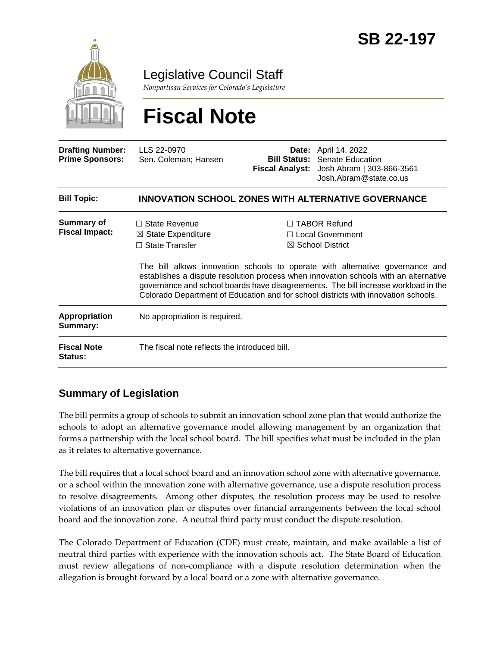

Legislative Council Staff

*Nonpartisan Services for Colorado's Legislature*

# **Fiscal Note**

| <b>Drafting Number:</b><br><b>Prime Sponsors:</b> | LLS 22-0970<br>Sen. Coleman; Hansen                                            |  | <b>Date:</b> April 14, 2022<br><b>Bill Status: Senate Education</b><br>Fiscal Analyst: Josh Abram   303-866-3561<br>Josh.Abram@state.co.us                                                                                                                                                                                                                                                                                         |  |
|---------------------------------------------------|--------------------------------------------------------------------------------|--|------------------------------------------------------------------------------------------------------------------------------------------------------------------------------------------------------------------------------------------------------------------------------------------------------------------------------------------------------------------------------------------------------------------------------------|--|
| <b>Bill Topic:</b>                                | <b>INNOVATION SCHOOL ZONES WITH ALTERNATIVE GOVERNANCE</b>                     |  |                                                                                                                                                                                                                                                                                                                                                                                                                                    |  |
| Summary of<br><b>Fiscal Impact:</b>               | $\Box$ State Revenue<br>$\boxtimes$ State Expenditure<br>$\Box$ State Transfer |  | $\Box$ TABOR Refund<br>$\Box$ Local Government<br>$\boxtimes$ School District<br>The bill allows innovation schools to operate with alternative governance and<br>establishes a dispute resolution process when innovation schools with an alternative<br>governance and school boards have disagreements. The bill increase workload in the<br>Colorado Department of Education and for school districts with innovation schools. |  |
| Appropriation<br>Summary:                         | No appropriation is required.                                                  |  |                                                                                                                                                                                                                                                                                                                                                                                                                                    |  |
| <b>Fiscal Note</b><br><b>Status:</b>              | The fiscal note reflects the introduced bill.                                  |  |                                                                                                                                                                                                                                                                                                                                                                                                                                    |  |

# **Summary of Legislation**

The bill permits a group of schools to submit an innovation school zone plan that would authorize the schools to adopt an alternative governance model allowing management by an organization that forms a partnership with the local school board. The bill specifies what must be included in the plan as it relates to alternative governance.

The bill requires that a local school board and an innovation school zone with alternative governance, or a school within the innovation zone with alternative governance, use a dispute resolution process to resolve disagreements. Among other disputes, the resolution process may be used to resolve violations of an innovation plan or disputes over financial arrangements between the local school board and the innovation zone. A neutral third party must conduct the dispute resolution.

The Colorado Department of Education (CDE) must create, maintain, and make available a list of neutral third parties with experience with the innovation schools act. The State Board of Education must review allegations of non-compliance with a dispute resolution determination when the allegation is brought forward by a local board or a zone with alternative governance.